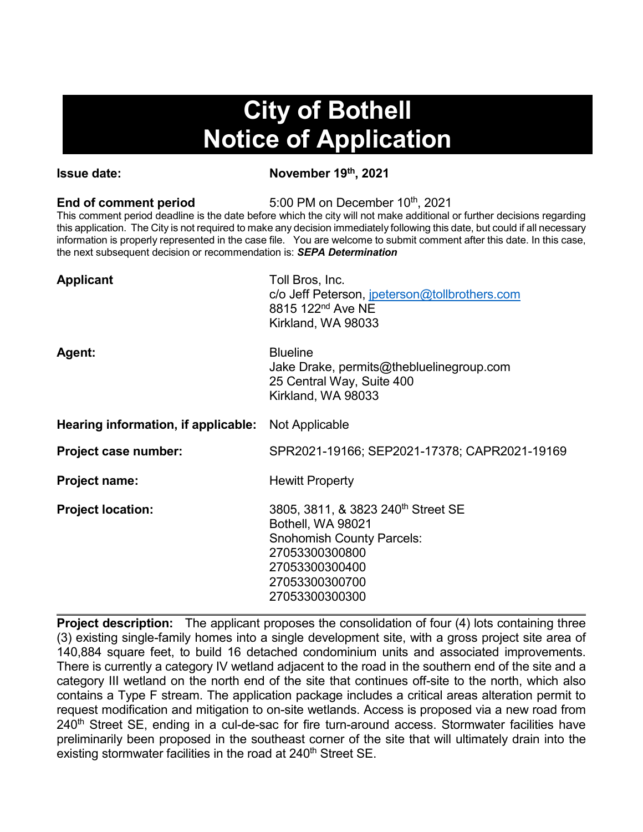# **City of Bothell Notice of Application**

**Issue date:** November 19<sup>th</sup>, 2021

**End of comment period** 5:00 PM on December 10<sup>th</sup>, 2021

This comment period deadline is the date before which the city will not make additional or further decisions regarding this application. The City is not required to make any decision immediately following this date, but could if all necessary information is properly represented in the case file. You are welcome to submit comment after this date. In this case, the next subsequent decision or recommendation is: *SEPA Determination*

| <b>Applicant</b>                    | Toll Bros, Inc.<br>c/o Jeff Peterson, jpeterson@tollbrothers.com<br>8815 122 <sup>nd</sup> Ave NE<br>Kirkland, WA 98033                                                         |
|-------------------------------------|---------------------------------------------------------------------------------------------------------------------------------------------------------------------------------|
| Agent:                              | <b>Blueline</b><br>Jake Drake, permits@thebluelinegroup.com<br>25 Central Way, Suite 400<br>Kirkland, WA 98033                                                                  |
| Hearing information, if applicable: | Not Applicable                                                                                                                                                                  |
| Project case number:                | SPR2021-19166; SEP2021-17378; CAPR2021-19169                                                                                                                                    |
| <b>Project name:</b>                | <b>Hewitt Property</b>                                                                                                                                                          |
| <b>Project location:</b>            | 3805, 3811, & 3823 240 <sup>th</sup> Street SE<br>Bothell, WA 98021<br><b>Snohomish County Parcels:</b><br>27053300300800<br>27053300300400<br>27053300300700<br>27053300300300 |

**Project description:** The applicant proposes the consolidation of four (4) lots containing three (3) existing single-family homes into a single development site, with a gross project site area of 140,884 square feet, to build 16 detached condominium units and associated improvements. There is currently a category IV wetland adjacent to the road in the southern end of the site and a category III wetland on the north end of the site that continues off-site to the north, which also contains a Type F stream. The application package includes a critical areas alteration permit to request modification and mitigation to on-site wetlands. Access is proposed via a new road from 240<sup>th</sup> Street SE, ending in a cul-de-sac for fire turn-around access. Stormwater facilities have preliminarily been proposed in the southeast corner of the site that will ultimately drain into the existing stormwater facilities in the road at 240<sup>th</sup> Street SE.